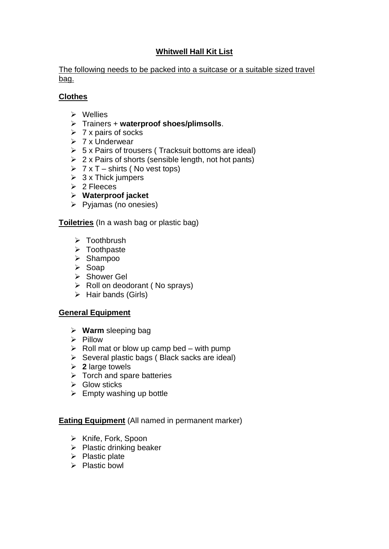# **Whitwell Hall Kit List**

The following needs to be packed into a suitcase or a suitable sized travel bag.

# **Clothes**

- ➢ Wellies
- ➢ Trainers + **waterproof shoes/plimsolls**.
- $\geq 7$  x pairs of socks
- ➢ 7 x Underwear
- $\triangleright$  5 x Pairs of trousers (Tracksuit bottoms are ideal)
- $\geq 2$  x Pairs of shorts (sensible length, not hot pants)
- $\triangleright$  7 x T shirts (No vest tops)
- $\geq 3$  x Thick jumpers
- ➢ 2 Fleeces
- ➢ **Waterproof jacket**
- ➢ Pyjamas (no onesies)

**Toiletries** (In a wash bag or plastic bag)

- ➢ Toothbrush
- ➢ Toothpaste
- ➢ Shampoo
- ➢ Soap
- ➢ Shower Gel
- $\triangleright$  Roll on deodorant (No sprays)
- $\triangleright$  Hair bands (Girls)

# **General Equipment**

- ➢ **Warm** sleeping bag
- ➢ Pillow
- $\triangleright$  Roll mat or blow up camp bed with pump
- $\triangleright$  Several plastic bags (Black sacks are ideal)
- ➢ **2** large towels
- ➢ Torch and spare batteries
- $\triangleright$  Glow sticks
- $\triangleright$  Empty washing up bottle

# **Eating Equipment** (All named in permanent marker)

- ➢ Knife, Fork, Spoon
- ➢ Plastic drinking beaker
- $\triangleright$  Plastic plate
- ➢ Plastic bowl